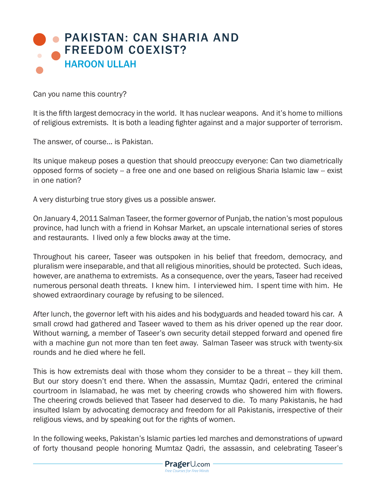## PAKISTAN: CAN SHARIA AND FREEDOM COEXIST? HAROON ULLAH

Can you name this country?

It is the fifth largest democracy in the world. It has nuclear weapons. And it's home to millions of religious extremists. It is both a leading fighter against and a major supporter of terrorism.

The answer, of course... is Pakistan.

Its unique makeup poses a question that should preoccupy everyone: Can two diametrically opposed forms of society -- a free one and one based on religious Sharia Islamic law -- exist in one nation?

A very disturbing true story gives us a possible answer.

On January 4, 2011 Salman Taseer, the former governor of Punjab, the nation's most populous province, had lunch with a friend in Kohsar Market, an upscale international series of stores and restaurants. I lived only a few blocks away at the time.

Throughout his career, Taseer was outspoken in his belief that freedom, democracy, and pluralism were inseparable, and that all religious minorities, should be protected. Such ideas, however, are anathema to extremists. As a consequence, over the years, Taseer had received numerous personal death threats. I knew him. I interviewed him. I spent time with him. He showed extraordinary courage by refusing to be silenced.

After lunch, the governor left with his aides and his bodyguards and headed toward his car. A small crowd had gathered and Taseer waved to them as his driver opened up the rear door. Without warning, a member of Taseer's own security detail stepped forward and opened fire with a machine gun not more than ten feet away. Salman Taseer was struck with twenty-six rounds and he died where he fell.

This is how extremists deal with those whom they consider to be a threat -- they kill them. But our story doesn't end there. When the assassin, Mumtaz Qadri, entered the criminal courtroom in Islamabad, he was met by cheering crowds who showered him with flowers. The cheering crowds believed that Taseer had deserved to die. To many Pakistanis, he had insulted Islam by advocating democracy and freedom for all Pakistanis, irrespective of their religious views, and by speaking out for the rights of women.

In the following weeks, Pakistan's Islamic parties led marches and demonstrations of upward of forty thousand people honoring Mumtaz Qadri, the assassin, and celebrating Taseer's